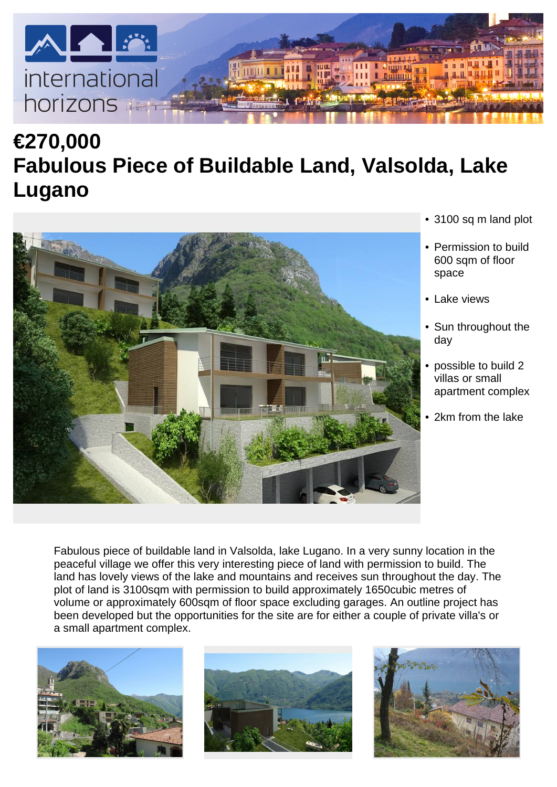

## **€270,000 Fabulous Piece of Buildable Land, Valsolda, Lake Lugano**



- 3100 sq m land plot
- Permission to build 600 sqm of floor space
- Lake views
- Sun throughout the day
- possible to build 2 villas or small apartment complex
- 2km from the lake

Fabulous piece of buildable land in Valsolda, lake Lugano. In a very sunny location in the peaceful village we offer this very interesting piece of land with permission to build. The land has lovely views of the lake and mountains and receives sun throughout the day. The plot of land is 3100sqm with permission to build approximately 1650cubic metres of volume or approximately 600sqm of floor space excluding garages. An outline project has been developed but the opportunities for the site are for either a couple of private villa's or a small apartment complex.





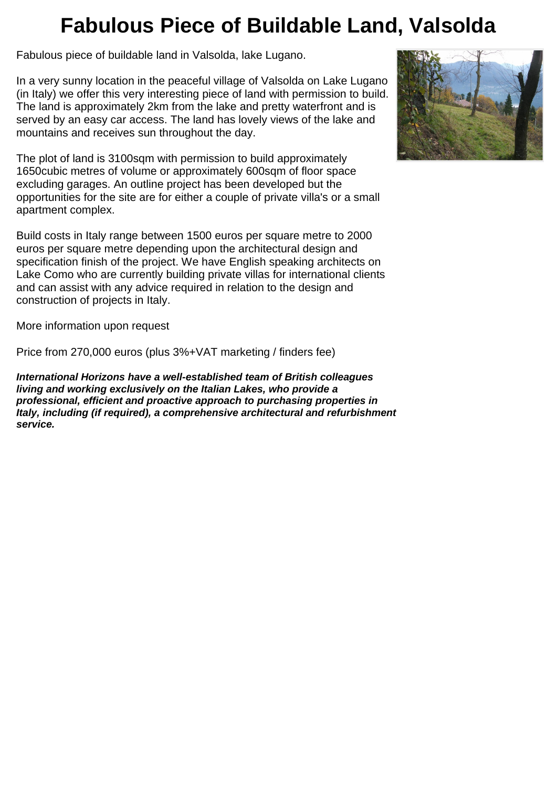## **Fabulous Piece of Buildable Land, Valsolda**

Fabulous piece of buildable land in Valsolda, lake Lugano.

In a very sunny location in the peaceful village of Valsolda on Lake Lugano (in Italy) we offer this very interesting piece of land with permission to build. The land is approximately 2km from the lake and pretty waterfront and is served by an easy car access. The land has lovely views of the lake and mountains and receives sun throughout the day.

The plot of land is 3100sqm with permission to build approximately 1650cubic metres of volume or approximately 600sqm of floor space excluding garages. An outline project has been developed but the opportunities for the site are for either a couple of private villa's or a small apartment complex.

Build costs in Italy range between 1500 euros per square metre to 2000 euros per square metre depending upon the architectural design and specification finish of the project. We have English speaking architects on Lake Como who are currently building private villas for international clients and can assist with any advice required in relation to the design and construction of projects in Italy.

More information upon request

Price from 270,000 euros (plus 3%+VAT marketing / finders fee)

*International Horizons have a well-established team of British colleagues living and working exclusively on the Italian Lakes, who provide a professional, efficient and proactive approach to purchasing properties in Italy, including (if required), a comprehensive architectural and refurbishment service.*